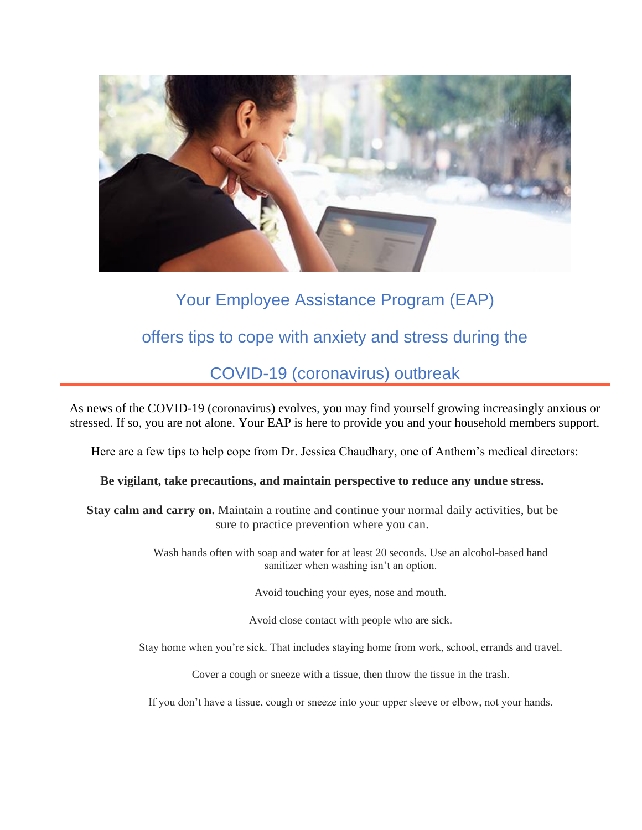

# Your Employee Assistance Program (EAP)

## offers tips to cope with anxiety and stress during the

### COVID-19 (coronavirus) outbreak

As news of the COVID-19 (coronavirus) evolves, you may find yourself growing increasingly anxious or stressed. If so, you are not alone. Your EAP is here to provide you and your household members support.

Here are a few tips to help cope from Dr. Jessica Chaudhary, one of Anthem's medical directors:

#### **Be vigilant, take precautions, and maintain perspective to reduce any undue stress.**

**Stay calm and carry on.** Maintain a routine and continue your normal daily activities, but be sure to practice prevention where you can.

> Wash hands often with soap and water for at least 20 seconds. Use an alcohol-based hand sanitizer when washing isn't an option.

> > Avoid touching your eyes, nose and mouth.

Avoid close contact with people who are sick.

Stay home when you're sick. That includes staying home from work, school, errands and travel.

Cover a cough or sneeze with a tissue, then throw the tissue in the trash.

If you don't have a tissue, cough or sneeze into your upper sleeve or elbow, not your hands.